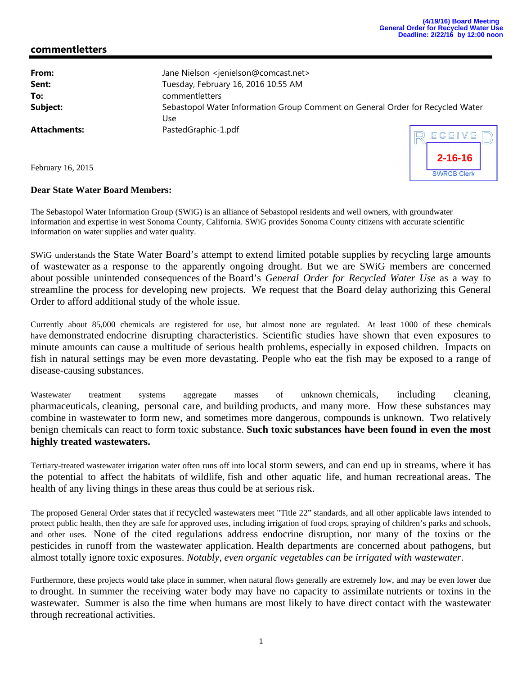**2-16-16**

## **commentletters**

| From:               | Jane Nielson <jenielson@comcast.net></jenielson@comcast.net>                          |
|---------------------|---------------------------------------------------------------------------------------|
| Sent:               | Tuesday, February 16, 2016 10:55 AM                                                   |
| To:                 | commentletters                                                                        |
| Subject:            | Sebastopol Water Information Group Comment on General Order for Recycled Water<br>Use |
| <b>Attachments:</b> | PastedGraphic-1.pdf<br>RECEIVE                                                        |

February 16, 2015

## **Dear State Water Board Members:**

The Sebastopol Water Information Group (SWiG) is an alliance of Sebastopol residents and well owners, with groundwater information and expertise in west Sonoma County, California. SWiG provides Sonoma County citizens with accurate scientific information on water supplies and water quality.

SWiG understands the State Water Board's attempt to extend limited potable supplies by recycling large amounts of wastewater as a response to the apparently ongoing drought. But we are SWiG members are concerned about possible unintended consequences of the Board's *General Order for Recycled Water Use* as a way to streamline the process for developing new projects. We request that the Board delay authorizing this General Order to afford additional study of the whole issue.

Currently about 85,000 chemicals are registered for use, but almost none are regulated. At least 1000 of these chemicals have demonstrated endocrine disrupting characteristics. Scientific studies have shown that even exposures to minute amounts can cause a multitude of serious health problems, especially in exposed children. Impacts on fish in natural settings may be even more devastating. People who eat the fish may be exposed to a range of disease-causing substances.

Wastewater treatment systems aggregate masses of unknown chemicals, including cleaning, pharmaceuticals, cleaning, personal care, and building products, and many more. How these substances may combine in wastewater to form new, and sometimes more dangerous, compounds is unknown. Two relatively benign chemicals can react to form toxic substance. **Such toxic substances have been found in even the most highly treated wastewaters.**

Tertiary-treated wastewater irrigation water often runs off into local storm sewers, and can end up in streams, where it has the potential to affect the habitats of wildlife, fish and other aquatic life, and human recreational areas. The health of any living things in these areas thus could be at serious risk.

The proposed General Order states that if recycled wastewaters meet "Title 22" standards, and all other applicable laws intended to protect public health, then they are safe for approved uses, including irrigation of food crops, spraying of children's parks and schools, and other uses. None of the cited regulations address endocrine disruption, nor many of the toxins or the pesticides in runoff from the wastewater application. Health departments are concerned about pathogens, but almost totally ignore toxic exposures. *Notably, even organic vegetables can be irrigated with wastewater*.

Furthermore, these projects would take place in summer, when natural flows generally are extremely low, and may be even lower due to drought. In summer the receiving water body may have no capacity to assimilate nutrients or toxins in the wastewater. Summer is also the time when humans are most likely to have direct contact with the wastewater through recreational activities.